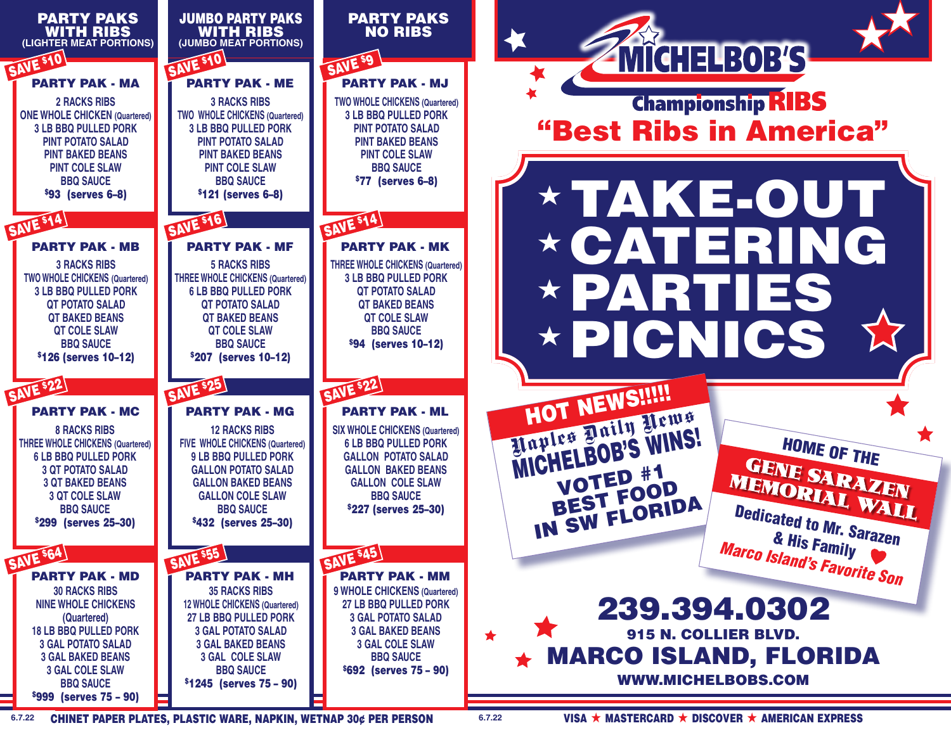